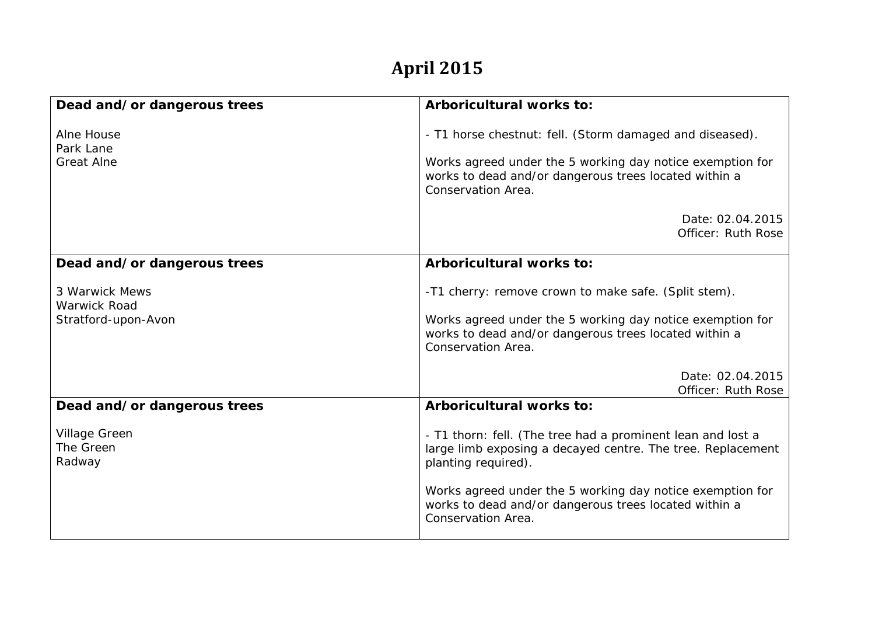## **April 2015**

| Dead and/or dangerous trees                                  | <b>Arboricultural works to:</b>                                                                                                                                                                                                                                                               |
|--------------------------------------------------------------|-----------------------------------------------------------------------------------------------------------------------------------------------------------------------------------------------------------------------------------------------------------------------------------------------|
| Alne House<br>Park Lane<br><b>Great Alne</b>                 | - T1 horse chestnut: fell. (Storm damaged and diseased).<br>Works agreed under the 5 working day notice exemption for<br>works to dead and/or dangerous trees located within a<br>Conservation Area.                                                                                          |
|                                                              | Date: 02.04.2015<br>Officer: Ruth Rose                                                                                                                                                                                                                                                        |
| Dead and/or dangerous trees                                  | <b>Arboricultural works to:</b>                                                                                                                                                                                                                                                               |
| 3 Warwick Mews<br><b>Warwick Road</b><br>Stratford-upon-Avon | -T1 cherry: remove crown to make safe. (Split stem).<br>Works agreed under the 5 working day notice exemption for<br>works to dead and/or dangerous trees located within a<br>Conservation Area.                                                                                              |
|                                                              | Date: 02.04.2015<br>Officer: Ruth Rose                                                                                                                                                                                                                                                        |
| Dead and/or dangerous trees                                  | Arboricultural works to:                                                                                                                                                                                                                                                                      |
| <b>Village Green</b><br>The Green<br>Radway                  | - T1 thorn: fell. (The tree had a prominent lean and lost a<br>large limb exposing a decayed centre. The tree. Replacement<br>planting required).<br>Works agreed under the 5 working day notice exemption for<br>works to dead and/or dangerous trees located within a<br>Conservation Area. |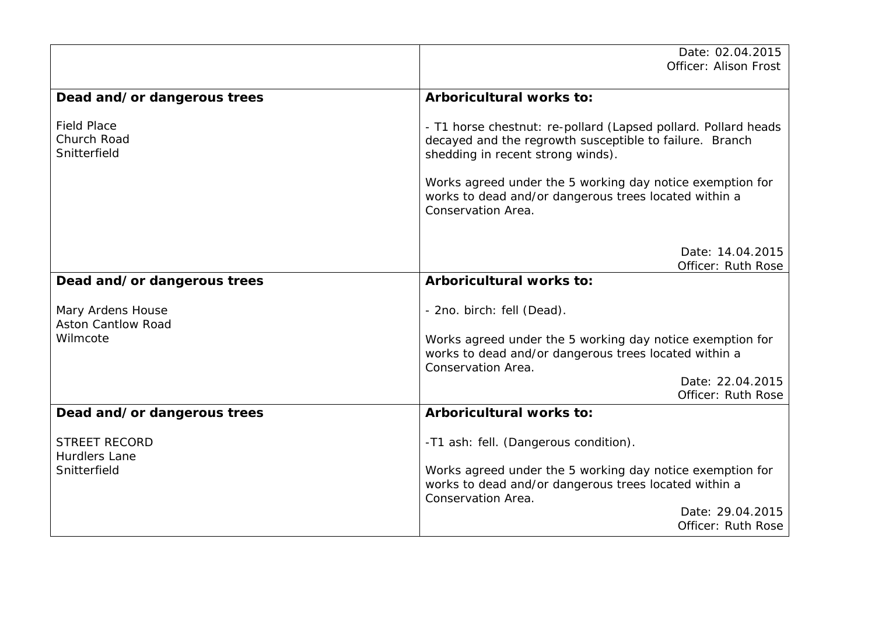|                                                   | Date: 02.04.2015                                                                                                                                               |
|---------------------------------------------------|----------------------------------------------------------------------------------------------------------------------------------------------------------------|
|                                                   | Officer: Alison Frost                                                                                                                                          |
| Dead and/or dangerous trees                       | Arboricultural works to:                                                                                                                                       |
| <b>Field Place</b><br>Church Road<br>Snitterfield | - T1 horse chestnut: re-pollard (Lapsed pollard. Pollard heads<br>decayed and the regrowth susceptible to failure. Branch<br>shedding in recent strong winds). |
|                                                   | Works agreed under the 5 working day notice exemption for<br>works to dead and/or dangerous trees located within a<br>Conservation Area.                       |
|                                                   | Date: 14.04.2015<br>Officer: Ruth Rose                                                                                                                         |
| Dead and/or dangerous trees                       | Arboricultural works to:                                                                                                                                       |
| Mary Ardens House<br><b>Aston Cantlow Road</b>    | - 2no. birch: fell (Dead).                                                                                                                                     |
| Wilmcote                                          | Works agreed under the 5 working day notice exemption for<br>works to dead and/or dangerous trees located within a<br>Conservation Area.                       |
|                                                   | Date: 22.04.2015<br>Officer: Ruth Rose                                                                                                                         |
| Dead and/or dangerous trees                       | Arboricultural works to:                                                                                                                                       |
| <b>STREET RECORD</b><br><b>Hurdlers Lane</b>      | -T1 ash: fell. (Dangerous condition).                                                                                                                          |
| Snitterfield                                      | Works agreed under the 5 working day notice exemption for<br>works to dead and/or dangerous trees located within a<br>Conservation Area.                       |
|                                                   | Date: 29.04.2015<br>Officer: Ruth Rose                                                                                                                         |